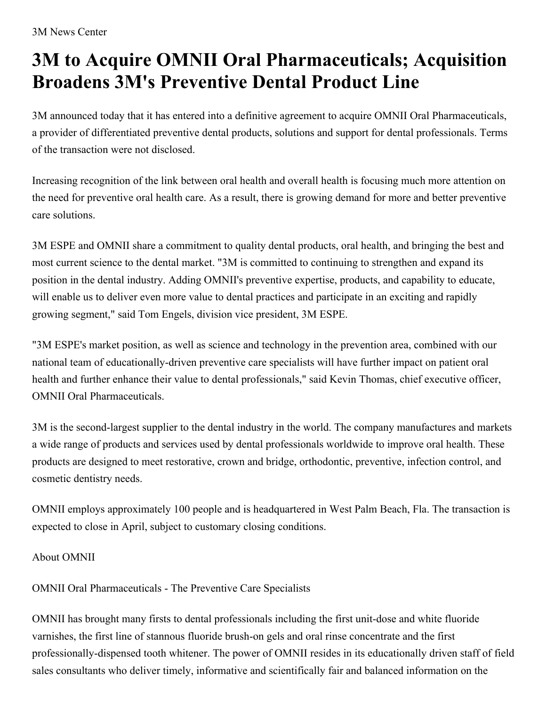## **3M to Acquire OMNII Oral Pharmaceuticals; Acquisition Broadens 3M's Preventive Dental Product Line**

3M announced today that it has entered into a definitive agreement to acquire OMNII Oral Pharmaceuticals, a provider of differentiated preventive dental products, solutions and support for dental professionals. Terms of the transaction were not disclosed.

Increasing recognition of the link between oral health and overall health is focusing much more attention on the need for preventive oral health care. As a result, there is growing demand for more and better preventive care solutions.

3M ESPE and OMNII share a commitment to quality dental products, oral health, and bringing the best and most current science to the dental market. "3M is committed to continuing to strengthen and expand its position in the dental industry. Adding OMNII's preventive expertise, products, and capability to educate, will enable us to deliver even more value to dental practices and participate in an exciting and rapidly growing segment," said Tom Engels, division vice president, 3M ESPE.

"3M ESPE's market position, as well as science and technology in the prevention area, combined with our national team of educationally-driven preventive care specialists will have further impact on patient oral health and further enhance their value to dental professionals," said Kevin Thomas, chief executive officer, OMNII Oral Pharmaceuticals.

3M is the second-largest supplier to the dental industry in the world. The company manufactures and markets a wide range of products and services used by dental professionals worldwide to improve oral health. These products are designed to meet restorative, crown and bridge, orthodontic, preventive, infection control, and cosmetic dentistry needs.

OMNII employs approximately 100 people and is headquartered in West Palm Beach, Fla. The transaction is expected to close in April, subject to customary closing conditions.

About OMNII

OMNII Oral Pharmaceuticals - The Preventive Care Specialists

OMNII has brought many firsts to dental professionals including the first unit-dose and white fluoride varnishes, the first line of stannous fluoride brush-on gels and oral rinse concentrate and the first professionally-dispensed tooth whitener. The power of OMNII resides in its educationally driven staff of field sales consultants who deliver timely, informative and scientifically fair and balanced information on the